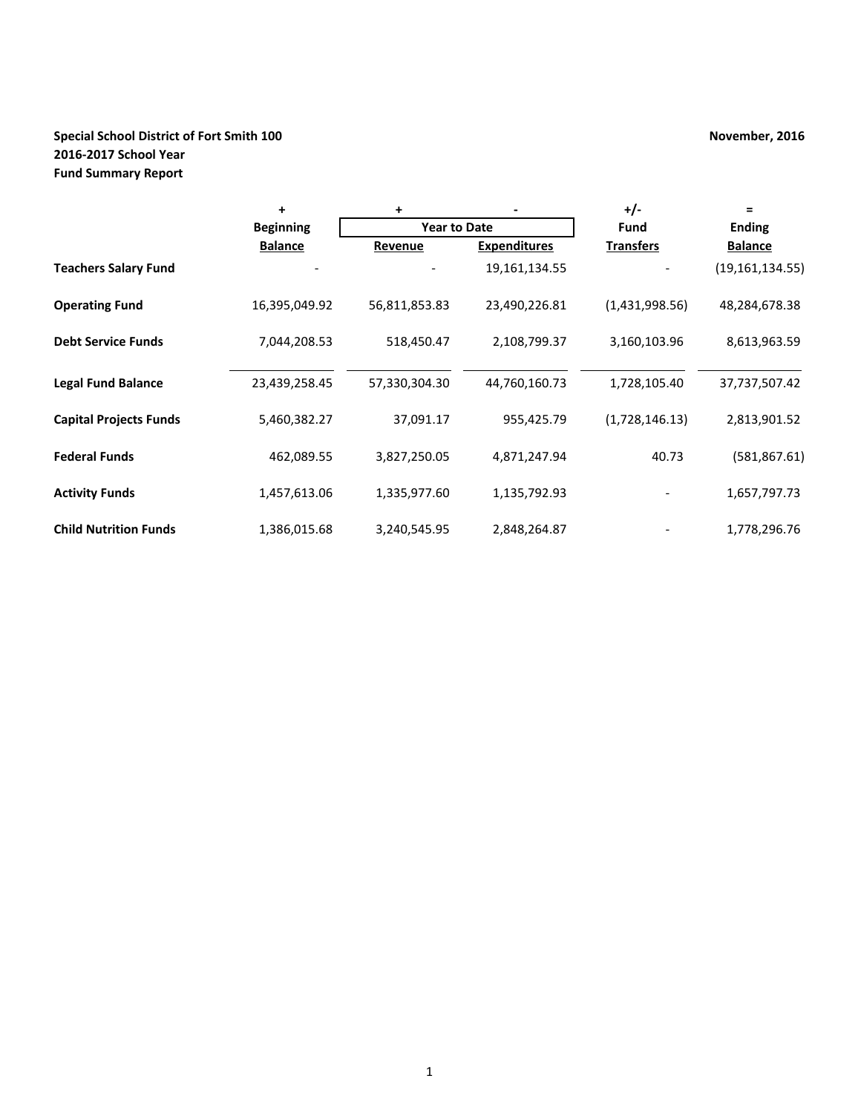# **Special School District of Fort Smith 100 November, 2016 November, 2016 2016-2017 School Year Fund Summary Report**

|                               | ÷                | +                   |                     | $+/-$            | $=$               |
|-------------------------------|------------------|---------------------|---------------------|------------------|-------------------|
|                               | <b>Beginning</b> | <b>Year to Date</b> |                     | Fund             | <b>Ending</b>     |
|                               | <b>Balance</b>   | Revenue             | <b>Expenditures</b> | <b>Transfers</b> | <b>Balance</b>    |
| <b>Teachers Salary Fund</b>   |                  |                     | 19, 161, 134. 55    |                  | (19, 161, 134.55) |
| <b>Operating Fund</b>         | 16,395,049.92    | 56,811,853.83       | 23,490,226.81       | (1,431,998.56)   | 48,284,678.38     |
| <b>Debt Service Funds</b>     | 7,044,208.53     | 518,450.47          | 2,108,799.37        | 3,160,103.96     | 8,613,963.59      |
| <b>Legal Fund Balance</b>     | 23,439,258.45    | 57,330,304.30       | 44,760,160.73       | 1,728,105.40     | 37,737,507.42     |
| <b>Capital Projects Funds</b> | 5,460,382.27     | 37,091.17           | 955,425.79          | (1,728,146.13)   | 2,813,901.52      |
| <b>Federal Funds</b>          | 462,089.55       | 3,827,250.05        | 4,871,247.94        | 40.73            | (581, 867.61)     |
| <b>Activity Funds</b>         | 1,457,613.06     | 1,335,977.60        | 1,135,792.93        |                  | 1,657,797.73      |
| <b>Child Nutrition Funds</b>  | 1,386,015.68     | 3,240,545.95        | 2,848,264.87        |                  | 1,778,296.76      |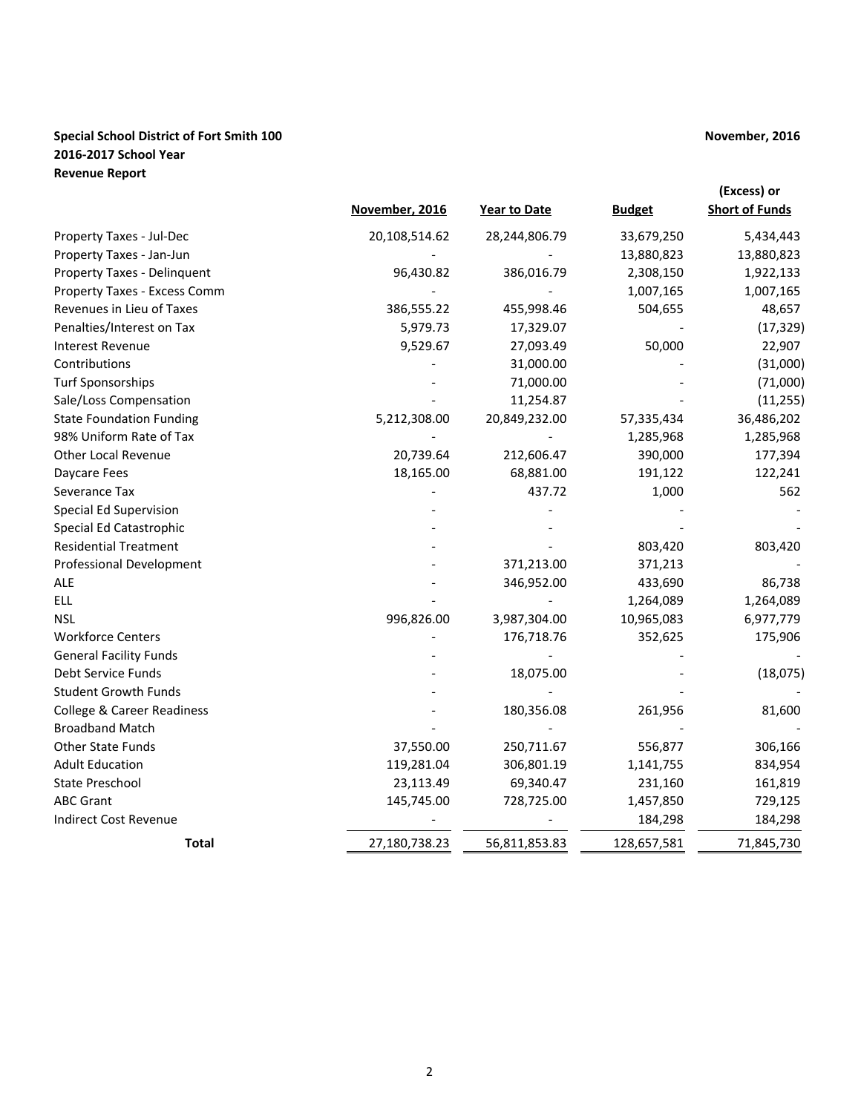## **Special School District of Fort Smith 100 November, 2016 November, 2016 2016-2017 School Year Revenue Report**

|                                             | November, 2016 | <b>Year to Date</b> | <b>Budget</b> | (Excess) or<br><b>Short of Funds</b> |
|---------------------------------------------|----------------|---------------------|---------------|--------------------------------------|
| Property Taxes - Jul-Dec                    | 20,108,514.62  | 28,244,806.79       | 33,679,250    | 5,434,443                            |
| Property Taxes - Jan-Jun                    |                |                     | 13,880,823    | 13,880,823                           |
| Property Taxes - Delinquent                 | 96,430.82      | 386,016.79          | 2,308,150     | 1,922,133                            |
| Property Taxes - Excess Comm                |                |                     | 1,007,165     | 1,007,165                            |
| Revenues in Lieu of Taxes                   | 386,555.22     | 455,998.46          | 504,655       | 48,657                               |
| Penalties/Interest on Tax                   | 5,979.73       | 17,329.07           |               | (17, 329)                            |
| <b>Interest Revenue</b>                     | 9,529.67       | 27,093.49           | 50,000        | 22,907                               |
| Contributions                               |                | 31,000.00           |               | (31,000)                             |
|                                             |                | 71,000.00           |               |                                      |
| Turf Sponsorships<br>Sale/Loss Compensation |                | 11,254.87           |               | (71,000)<br>(11, 255)                |
| <b>State Foundation Funding</b>             |                |                     |               |                                      |
|                                             | 5,212,308.00   | 20,849,232.00       | 57,335,434    | 36,486,202                           |
| 98% Uniform Rate of Tax                     |                |                     | 1,285,968     | 1,285,968                            |
| <b>Other Local Revenue</b>                  | 20,739.64      | 212,606.47          | 390,000       | 177,394                              |
| Daycare Fees                                | 18,165.00      | 68,881.00           | 191,122       | 122,241                              |
| Severance Tax                               |                | 437.72              | 1,000         | 562                                  |
| <b>Special Ed Supervision</b>               |                |                     |               |                                      |
| Special Ed Catastrophic                     |                |                     |               |                                      |
| <b>Residential Treatment</b>                |                |                     | 803,420       | 803,420                              |
| Professional Development                    |                | 371,213.00          | 371,213       |                                      |
| ALE                                         |                | 346,952.00          | 433,690       | 86,738                               |
| <b>ELL</b>                                  |                |                     | 1,264,089     | 1,264,089                            |
| <b>NSL</b>                                  | 996,826.00     | 3,987,304.00        | 10,965,083    | 6,977,779                            |
| <b>Workforce Centers</b>                    |                | 176,718.76          | 352,625       | 175,906                              |
| <b>General Facility Funds</b>               |                |                     |               |                                      |
| Debt Service Funds                          |                | 18,075.00           |               | (18, 075)                            |
| <b>Student Growth Funds</b>                 |                |                     |               |                                      |
| <b>College &amp; Career Readiness</b>       |                | 180,356.08          | 261,956       | 81,600                               |
| <b>Broadband Match</b>                      |                |                     |               |                                      |
| Other State Funds                           | 37,550.00      | 250,711.67          | 556,877       | 306,166                              |
| <b>Adult Education</b>                      | 119,281.04     | 306,801.19          | 1,141,755     | 834,954                              |
| State Preschool                             | 23,113.49      | 69,340.47           | 231,160       | 161,819                              |
| <b>ABC Grant</b>                            | 145,745.00     | 728,725.00          | 1,457,850     | 729,125                              |
| <b>Indirect Cost Revenue</b>                |                |                     | 184,298       | 184,298                              |
| <b>Total</b>                                | 27,180,738.23  | 56,811,853.83       | 128,657,581   | 71,845,730                           |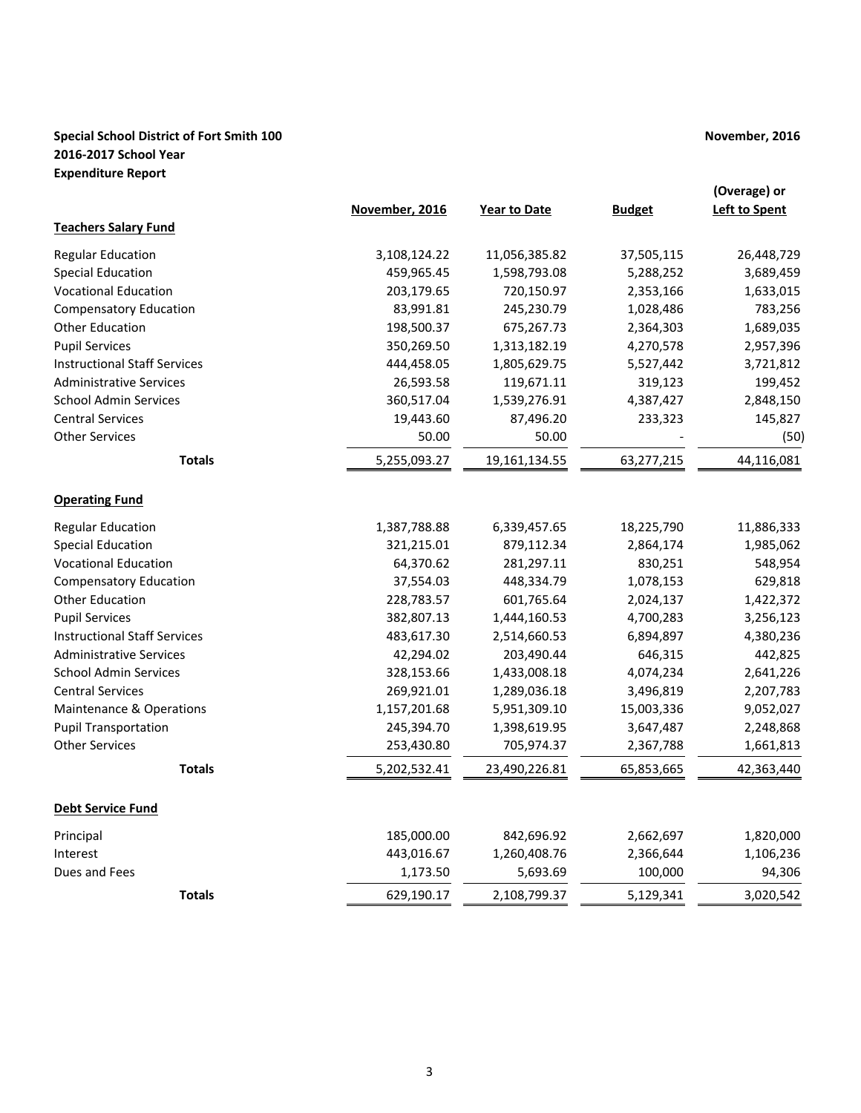## **Special School District of Fort Smith 100 November, 2016 November, 2016 2016-2017 School Year Expenditure Report**

|                                     | November, 2016 | <b>Year to Date</b> | <b>Budget</b> | (Overage) or<br><b>Left to Spent</b> |
|-------------------------------------|----------------|---------------------|---------------|--------------------------------------|
| <b>Teachers Salary Fund</b>         |                |                     |               |                                      |
| <b>Regular Education</b>            | 3,108,124.22   | 11,056,385.82       | 37,505,115    | 26,448,729                           |
| <b>Special Education</b>            | 459,965.45     | 1,598,793.08        | 5,288,252     | 3,689,459                            |
| <b>Vocational Education</b>         | 203,179.65     | 720,150.97          | 2,353,166     | 1,633,015                            |
| <b>Compensatory Education</b>       | 83,991.81      | 245,230.79          | 1,028,486     | 783,256                              |
| <b>Other Education</b>              | 198,500.37     | 675,267.73          | 2,364,303     | 1,689,035                            |
| <b>Pupil Services</b>               | 350,269.50     | 1,313,182.19        | 4,270,578     | 2,957,396                            |
| <b>Instructional Staff Services</b> | 444,458.05     | 1,805,629.75        | 5,527,442     | 3,721,812                            |
| <b>Administrative Services</b>      | 26,593.58      | 119,671.11          | 319,123       | 199,452                              |
| <b>School Admin Services</b>        | 360,517.04     | 1,539,276.91        | 4,387,427     | 2,848,150                            |
| <b>Central Services</b>             | 19,443.60      | 87,496.20           | 233,323       | 145,827                              |
| <b>Other Services</b>               | 50.00          | 50.00               |               | (50)                                 |
| <b>Totals</b>                       | 5,255,093.27   | 19,161,134.55       | 63,277,215    | 44,116,081                           |
| <b>Operating Fund</b>               |                |                     |               |                                      |
| <b>Regular Education</b>            | 1,387,788.88   | 6,339,457.65        | 18,225,790    | 11,886,333                           |
| <b>Special Education</b>            | 321,215.01     | 879,112.34          | 2,864,174     | 1,985,062                            |
| <b>Vocational Education</b>         | 64,370.62      | 281,297.11          | 830,251       | 548,954                              |
| <b>Compensatory Education</b>       | 37,554.03      | 448,334.79          | 1,078,153     | 629,818                              |
| <b>Other Education</b>              | 228,783.57     | 601,765.64          | 2,024,137     | 1,422,372                            |
| <b>Pupil Services</b>               | 382,807.13     | 1,444,160.53        | 4,700,283     | 3,256,123                            |
| <b>Instructional Staff Services</b> | 483,617.30     | 2,514,660.53        | 6,894,897     | 4,380,236                            |
| <b>Administrative Services</b>      | 42,294.02      | 203,490.44          | 646,315       | 442,825                              |
| <b>School Admin Services</b>        | 328,153.66     | 1,433,008.18        | 4,074,234     | 2,641,226                            |
| <b>Central Services</b>             | 269,921.01     | 1,289,036.18        | 3,496,819     | 2,207,783                            |
| Maintenance & Operations            | 1,157,201.68   | 5,951,309.10        | 15,003,336    | 9,052,027                            |
| <b>Pupil Transportation</b>         | 245,394.70     | 1,398,619.95        | 3,647,487     | 2,248,868                            |
| <b>Other Services</b>               | 253,430.80     | 705,974.37          | 2,367,788     | 1,661,813                            |
| <b>Totals</b>                       | 5,202,532.41   | 23,490,226.81       | 65,853,665    | 42,363,440                           |
| <u>Debt Service Fund</u>            |                |                     |               |                                      |
| Principal                           | 185,000.00     | 842,696.92          | 2,662,697     | 1,820,000                            |
| Interest                            | 443,016.67     | 1,260,408.76        | 2,366,644     | 1,106,236                            |
| Dues and Fees                       | 1,173.50       | 5,693.69            | 100,000       | 94,306                               |
| <b>Totals</b>                       | 629,190.17     | 2,108,799.37        | 5,129,341     | 3,020,542                            |